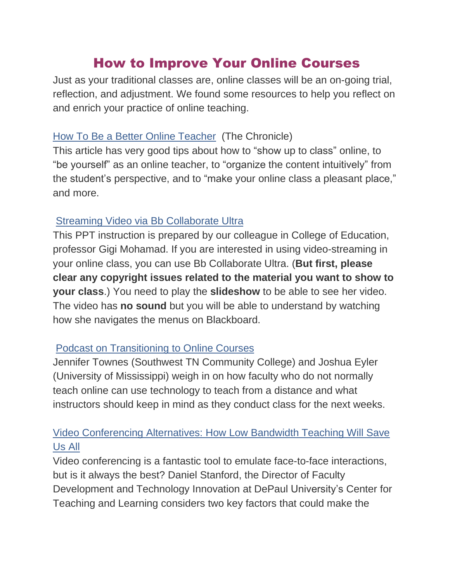# How to Improve Your Online Courses

Just as your traditional classes are, online classes will be an on-going trial, reflection, and adjustment. We found some resources to help you reflect on and enrich your practice of online teaching.

## How To Be a Better Online [Teacher](https://www.chronicle.com/interactives/advice-online-teaching) (The Chronicle)

This article has very good tips about how to "show up to class" online, to "be yourself" as an online teacher, to "organize the content intuitively" from the student's perspective, and to "make your online class a pleasant place," and more.

#### Streaming Video via Bb [Collaborate](https://studentwpunj-my.sharepoint.com/:p:/g/personal/mohamadg_wpunj_edu/Ee9F84q-JXhPq46L03bd4CoB13pX_o8bifgglrvqHJDxVA?e=yYpW3S) Ultra

This PPT instruction is prepared by our colleague in College of Education, professor Gigi Mohamad. If you are interested in using video-streaming in your online class, you can use Bb Collaborate Ultra. (**But first, please clear any copyright issues related to the material you want to show to your class**.) You need to play the **slideshow** to be able to see her video. The video has **no sound** but you will be able to understand by watching how she navigates the menus on Blackboard.

## Podcast on [Transitioning](http://leadinglinespod.com/episodes/episode-75jennifer-townes-and-joshua-eyler/) to Online Courses

Jennifer Townes (Southwest TN Community College) and Joshua Eyler (University of Mississippi) weigh in on how faculty who do not normally teach online can use technology to teach from a distance and what instructors should keep in mind as they conduct class for the next weeks.

# Video [Conferencing](https://www.iddblog.org/videoconferencing-alternatives-how-low-bandwidth-teaching-will-save-us-all/) Alternatives: How Low Bandwidth Teaching Will Save [Us](https://www.iddblog.org/videoconferencing-alternatives-how-low-bandwidth-teaching-will-save-us-all/) All

Video conferencing is a fantastic tool to emulate face-to-face interactions, but is it always the best? Daniel Stanford, the Director of Faculty Development and Technology Innovation at DePaul University's Center for Teaching and Learning considers two key factors that could make the